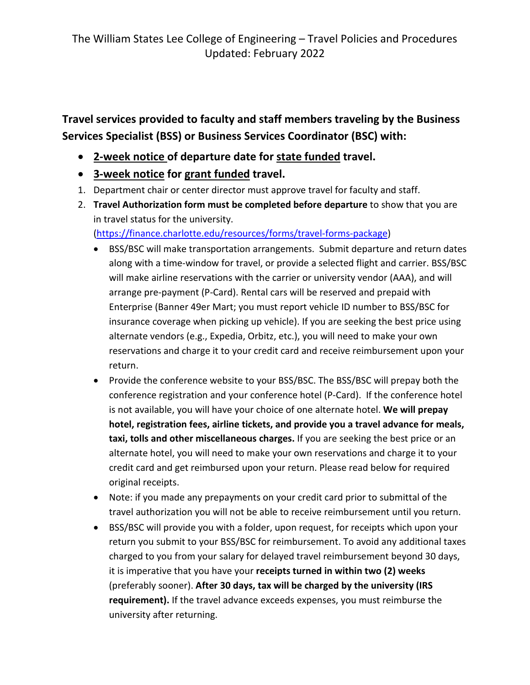**Travel services provided to faculty and staff members traveling by the Business Services Specialist (BSS) or Business Services Coordinator (BSC) with:**

- **2-week notice of departure date for state funded travel.**
- **3-week notice for grant funded travel.**
- 1. Department chair or center director must approve travel for faculty and staff.
- 2. **Travel Authorization form must be completed before departure** to show that you are in travel status for the university.

[\(https://finance.charlotte.edu/resources/forms/travel-forms-package\)](https://finance.charlotte.edu/resources/forms/travel-forms-package)

- BSS/BSC will make transportation arrangements. Submit departure and return dates along with a time-window for travel, or provide a selected flight and carrier. BSS/BSC will make airline reservations with the carrier or university vendor (AAA), and will arrange pre-payment (P-Card). Rental cars will be reserved and prepaid with Enterprise (Banner 49er Mart; you must report vehicle ID number to BSS/BSC for insurance coverage when picking up vehicle). If you are seeking the best price using alternate vendors (e.g., Expedia, Orbitz, etc.), you will need to make your own reservations and charge it to your credit card and receive reimbursement upon your return.
- Provide the conference website to your BSS/BSC. The BSS/BSC will prepay both the conference registration and your conference hotel (P-Card). If the conference hotel is not available, you will have your choice of one alternate hotel. **We will prepay hotel, registration fees, airline tickets, and provide you a travel advance for meals, taxi, tolls and other miscellaneous charges.** If you are seeking the best price or an alternate hotel, you will need to make your own reservations and charge it to your credit card and get reimbursed upon your return. Please read below for required original receipts.
- Note: if you made any prepayments on your credit card prior to submittal of the travel authorization you will not be able to receive reimbursement until you return.
- BSS/BSC will provide you with a folder, upon request, for receipts which upon your return you submit to your BSS/BSC for reimbursement. To avoid any additional taxes charged to you from your salary for delayed travel reimbursement beyond 30 days, it is imperative that you have your **receipts turned in within two (2) weeks** (preferably sooner). **After 30 days, tax will be charged by the university (IRS requirement).** If the travel advance exceeds expenses, you must reimburse the university after returning.